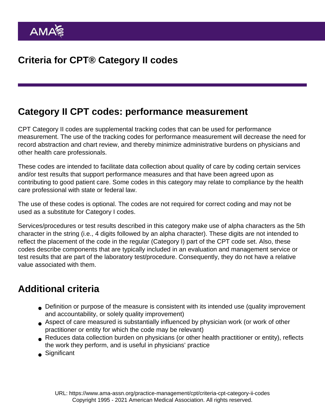## Category II CPT codes: performance measurement

CPT Category II codes are supplemental tracking codes that can be used for performance measurement. The use of the tracking codes for performance measurement will decrease the need for record abstraction and chart review, and thereby minimize administrative burdens on physicians and other health care professionals.

These codes are intended to facilitate data collection about quality of care by coding certain services and/or test results that support performance measures and that have been agreed upon as contributing to good patient care. Some codes in this category may relate to compliance by the health care professional with state or federal law.

The use of these codes is optional. The codes are not required for correct coding and may not be used as a substitute for [Category I codes](https://www.ama-assn.org/practice-management/cpt/category-i-vaccine-codes).

Services/procedures or test results described in this category make use of alpha characters as the 5th character in the string (i.e., 4 digits followed by an alpha character). These digits are not intended to reflect the placement of the code in the regular (Category I) part of the CPT code set. Also, these codes describe components that are typically included in an evaluation and management service or test results that are part of the laboratory test/procedure. Consequently, they do not have a relative value associated with them.

## Additional criteria

- Definition or purpose of the measure is consistent with its intended use (quality improvement and accountability, or solely quality improvement)
- Aspect of care measured is substantially influenced by physician work (or work of other practitioner or entity for which the code may be relevant)
- Reduces data collection burden on physicians (or other health practitioner or entity), reflects the work they perform, and is useful in physicians' practice
- Significant